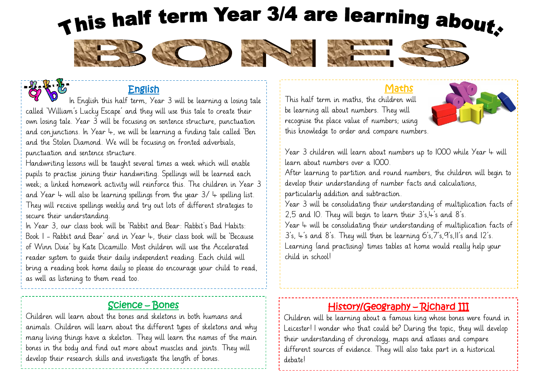# This half term Year 3/4 are learning about.













## English

 In English this half term, Year 3 will be learning a losing tale called 'William's Lucky Escape' and they will use this tale to create their own losing tale. Year 3 will be focusing on sentence structure, punctuation and conjunctions. In Year 4, we will be learning a finding tale called 'Ben and the Stolen Diamond. We will be focusing on fronted adverbials, punctuation and sentence structure.

Handwriting lessons will be taught several times a week which will enable pupils to practise joining their handwriting. Spellings will be learned each week; a linked homework activity will reinforce this. The children in Year 3 and Year  $4$  will also be learning spellings from the year  $3/4$  spelling list. They will receive spellings weekly and try out lots of different strategies to secure their understanding.

In Year 3, our class book will be 'Rabbit and Bear: Rabbit's Bad Habits: Book 1 - Rabbit and Bear' and in Year 4, their class book will be 'Because of Winn Dixie' by Kate Dicamillo. Most children will use the Accelerated reader system to guide their daily independent reading. Each child will bring a reading book home daily so please do encourage your child to read, as well as listening to them read too.

## Science – Bones

Children will learn about the bones and skeletons in both humans and animals. Children will learn about the different types of skeletons and why many living things have a skeleton. They will learn the names of the main bones in the body and find out more about muscles and joints. They will develop their research skills and investigate the length of bones.

#### Maths

This half term in maths, the children will be learning all about numbers. They will recognise the place value of numbers; using this knowledge to order and compare numbers.



Year 3 children will learn about numbers up to 1000 while Year 4 will learn about numbers over a 1000.

After learning to partition and round numbers, the children will begin to develop their understanding of number facts and calculations, particularly addition and subtraction.

Year 3 will be consolidating their understanding of multiplication facts of 2,5 and 10. They will begin to learn their  $3's$ ,  $\pm s$  and  $8's$ .

Year  $4$  will be consolidating their understanding of multiplication facts of  $3's$ ,  $4's$  and  $8's$ . They will then be learning  $6's$ ,  $7's$ ,  $9's$ ,  $11's$  and  $12's$ . Learning (and practising) times tables at home would really help your child in school!

## History/Geography – Richard III

Children will be learning about a famous king whose bones were found in Leicester! I wonder who that could be? During the topic, they will develop their understanding of chronology, maps and atlases and compare different sources of evidence. They will also take part in a historical debate!